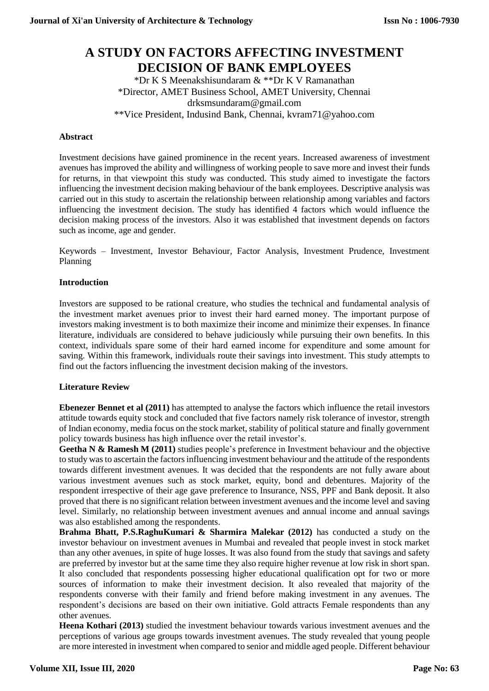# **A STUDY ON FACTORS AFFECTING INVESTMENT DECISION OF BANK EMPLOYEES**

\*Dr K S Meenakshisundaram & \*\*Dr K V Ramanathan \*Director, AMET Business School, AMET University, Chennai drksmsundaram@gmail.com \*\*Vice President, Indusind Bank, Chennai, kvram71@yahoo.com

## **Abstract**

Investment decisions have gained prominence in the recent years. Increased awareness of investment avenues has improved the ability and willingness of working people to save more and invest their funds for returns, in that viewpoint this study was conducted. This study aimed to investigate the factors influencing the investment decision making behaviour of the bank employees. Descriptive analysis was carried out in this study to ascertain the relationship between relationship among variables and factors influencing the investment decision. The study has identified 4 factors which would influence the decision making process of the investors. Also it was established that investment depends on factors such as income, age and gender.

Keywords – Investment, Investor Behaviour, Factor Analysis, Investment Prudence, Investment Planning

## **Introduction**

Investors are supposed to be rational creature, who studies the technical and fundamental analysis of the investment market avenues prior to invest their hard earned money. The important purpose of investors making investment is to both maximize their income and minimize their expenses. In finance literature, individuals are considered to behave judiciously while pursuing their own benefits. In this context, individuals spare some of their hard earned income for expenditure and some amount for saving. Within this framework, individuals route their savings into investment. This study attempts to find out the factors influencing the investment decision making of the investors.

## **Literature Review**

**Ebenezer Bennet et al (2011)** has attempted to analyse the factors which influence the retail investors attitude towards equity stock and concluded that five factors namely risk tolerance of investor, strength of Indian economy, media focus on the stock market, stability of political stature and finally government policy towards business has high influence over the retail investor's.

Geetha N & Ramesh M (2011) studies people's preference in Investment behaviour and the objective to study was to ascertain the factors influencing investment behaviour and the attitude of the respondents towards different investment avenues. It was decided that the respondents are not fully aware about various investment avenues such as stock market, equity, bond and debentures. Majority of the respondent irrespective of their age gave preference to Insurance, NSS, PPF and Bank deposit. It also proved that there is no significant relation between investment avenues and the income level and saving level. Similarly, no relationship between investment avenues and annual income and annual savings was also established among the respondents.

**Brahma Bhatt, P.S.RaghuKumari & Sharmira Malekar (2012)** has conducted a study on the investor behaviour on investment avenues in Mumbai and revealed that people invest in stock market than any other avenues, in spite of huge losses. It was also found from the study that savings and safety are preferred by investor but at the same time they also require higher revenue at low risk in short span. It also concluded that respondents possessing higher educational qualification opt for two or more sources of information to make their investment decision. It also revealed that majority of the respondents converse with their family and friend before making investment in any avenues. The respondent's decisions are based on their own initiative. Gold attracts Female respondents than any other avenues.

**Heena Kothari (2013)** studied the investment behaviour towards various investment avenues and the perceptions of various age groups towards investment avenues. The study revealed that young people are more interested in investment when compared to senior and middle aged people. Different behaviour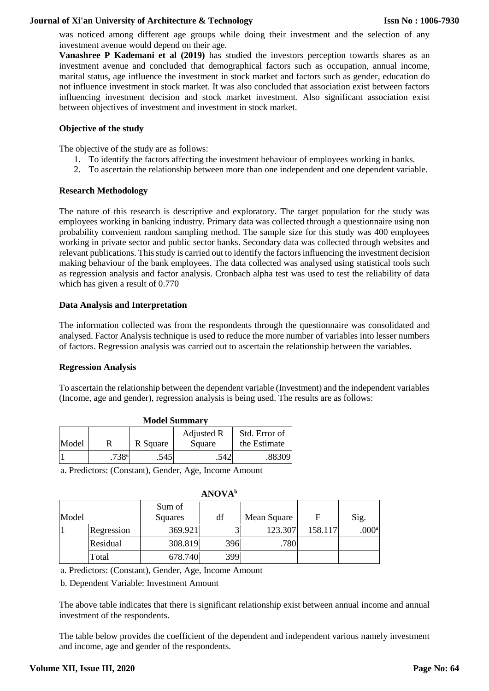#### **Journal of Xi'an University of Architecture & Technology**

was noticed among different age groups while doing their investment and the selection of any investment avenue would depend on their age.

**Vanashree P Kademani et al (2019)** has studied the investors perception towards shares as an investment avenue and concluded that demographical factors such as occupation, annual income, marital status, age influence the investment in stock market and factors such as gender, education do not influence investment in stock market. It was also concluded that association exist between factors influencing investment decision and stock market investment. Also significant association exist between objectives of investment and investment in stock market.

## **Objective of the study**

The objective of the study are as follows:

- 1. To identify the factors affecting the investment behaviour of employees working in banks.
- 2. To ascertain the relationship between more than one independent and one dependent variable.

## **Research Methodology**

The nature of this research is descriptive and exploratory. The target population for the study was employees working in banking industry. Primary data was collected through a questionnaire using non probability convenient random sampling method. The sample size for this study was 400 employees working in private sector and public sector banks. Secondary data was collected through websites and relevant publications. This study is carried out to identify the factors influencing the investment decision making behaviour of the bank employees. The data collected was analysed using statistical tools such as regression analysis and factor analysis. Cronbach alpha test was used to test the reliability of data which has given a result of 0.770

## **Data Analysis and Interpretation**

The information collected was from the respondents through the questionnaire was consolidated and analysed. Factor Analysis technique is used to reduce the more number of variables into lesser numbers of factors. Regression analysis was carried out to ascertain the relationship between the variables.

## **Regression Analysis**

To ascertain the relationship between the dependent variable (Investment) and the independent variables (Income, age and gender), regression analysis is being used. The results are as follows:

| <b>Model Summary</b> |       |          |            |               |  |  |  |
|----------------------|-------|----------|------------|---------------|--|--|--|
|                      |       |          | Adjusted R | Std. Error of |  |  |  |
| Model                | R     | R Square | Square     | the Estimate  |  |  |  |
|                      | .738ª | .545     | .542       | .88309        |  |  |  |

a. Predictors: (Constant), Gender, Age, Income Amount

| ANU VA |            |         |     |             |         |                   |  |  |  |
|--------|------------|---------|-----|-------------|---------|-------------------|--|--|--|
|        |            | Sum of  |     |             |         |                   |  |  |  |
| Model  |            | Squares | df  | Mean Square | F       | Sig.              |  |  |  |
|        | Regression | 369.921 |     | 123.307     | 158.117 | .000 <sup>a</sup> |  |  |  |
|        | Residual   | 308.819 | 396 | .780        |         |                   |  |  |  |
|        | Total      | 678.740 | 399 |             |         |                   |  |  |  |

**ANOVA<sup>b</sup>**

a. Predictors: (Constant), Gender, Age, Income Amount

b. Dependent Variable: Investment Amount

The above table indicates that there is significant relationship exist between annual income and annual investment of the respondents.

The table below provides the coefficient of the dependent and independent various namely investment and income, age and gender of the respondents.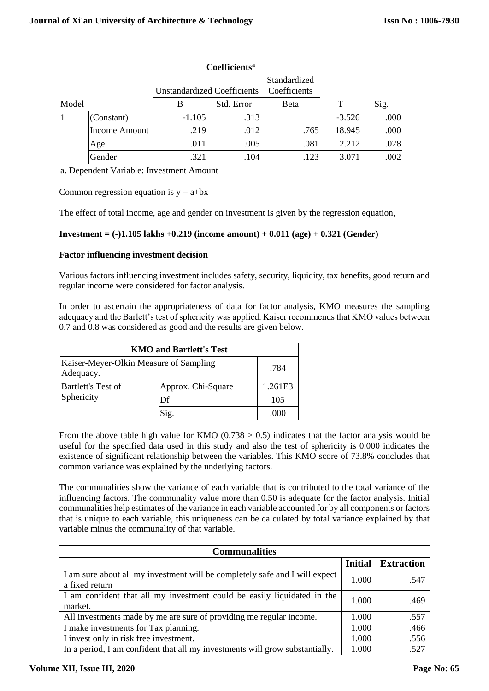|       |               | Unstandardized Coefficients |            | Standardized<br>Coefficients |          |      |  |  |  |  |
|-------|---------------|-----------------------------|------------|------------------------------|----------|------|--|--|--|--|
| Model |               | В                           | Std. Error | <b>B</b> eta                 | Т        | Sig. |  |  |  |  |
|       | (Constant)    | $-1.105$                    | .313       |                              | $-3.526$ | .000 |  |  |  |  |
|       | Income Amount | .219                        | .012       | .765                         | 18.945   | .000 |  |  |  |  |
|       | Age           | .011                        | .005       | .081                         | 2.212    | .028 |  |  |  |  |
|       | Gender        | .321                        | .104       | .123                         | 3.071    | .002 |  |  |  |  |

**Coefficients<sup>a</sup>**

a. Dependent Variable: Investment Amount

Common regression equation is  $y = a + bx$ 

The effect of total income, age and gender on investment is given by the regression equation,

## **Investment = (-)1.105 lakhs +0.219 (income amount) + 0.011 (age) + 0.321 (Gender)**

## **Factor influencing investment decision**

Various factors influencing investment includes safety, security, liquidity, tax benefits, good return and regular income were considered for factor analysis.

In order to ascertain the appropriateness of data for factor analysis, KMO measures the sampling adequacy and the Barlett's test of sphericity was applied. Kaiser recommends that KMO values between 0.7 and 0.8 was considered as good and the results are given below.

| <b>KMO and Bartlett's Test</b>                      |                    |         |  |  |  |
|-----------------------------------------------------|--------------------|---------|--|--|--|
| Kaiser-Meyer-Olkin Measure of Sampling<br>Adequacy. | .784               |         |  |  |  |
| Bartlett's Test of                                  | Approx. Chi-Square | 1.261E3 |  |  |  |
| Sphericity                                          | Df                 | 105     |  |  |  |
|                                                     | Sig.               | .000    |  |  |  |

From the above table high value for KMO  $(0.738 > 0.5)$  indicates that the factor analysis would be useful for the specified data used in this study and also the test of sphericity is 0.000 indicates the existence of significant relationship between the variables. This KMO score of 73.8% concludes that common variance was explained by the underlying factors.

The communalities show the variance of each variable that is contributed to the total variance of the influencing factors. The communality value more than 0.50 is adequate for the factor analysis. Initial communalities help estimates of the variance in each variable accounted for by all components or factors that is unique to each variable, this uniqueness can be calculated by total variance explained by that variable minus the communality of that variable.

| <b>Communalities</b>                                                                          |                |                   |  |  |  |  |
|-----------------------------------------------------------------------------------------------|----------------|-------------------|--|--|--|--|
|                                                                                               | <b>Initial</b> | <b>Extraction</b> |  |  |  |  |
| I am sure about all my investment will be completely safe and I will expect<br>a fixed return | 1.000          | .547              |  |  |  |  |
| I am confident that all my investment could be easily liquidated in the<br>market.            | 1.000          | .469              |  |  |  |  |
| All investments made by me are sure of providing me regular income.                           | 1.000          | .557              |  |  |  |  |
| I make investments for Tax planning.                                                          | 1.000          | .466              |  |  |  |  |
| I invest only in risk free investment.                                                        | 1.000          | .556              |  |  |  |  |
| In a period, I am confident that all my investments will grow substantially.                  | 1.000          | .527              |  |  |  |  |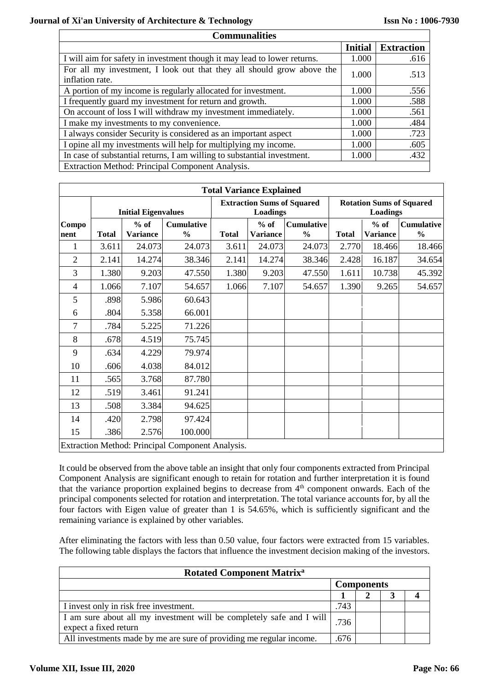| <b>Communalities</b>                                                                     |                |                   |  |  |  |  |
|------------------------------------------------------------------------------------------|----------------|-------------------|--|--|--|--|
|                                                                                          | <b>Initial</b> | <b>Extraction</b> |  |  |  |  |
| I will aim for safety in investment though it may lead to lower returns.                 | 1.000          | .616              |  |  |  |  |
| For all my investment, I look out that they all should grow above the<br>inflation rate. | 1.000          | .513              |  |  |  |  |
| A portion of my income is regularly allocated for investment.                            | 1.000          | .556              |  |  |  |  |
| I frequently guard my investment for return and growth.                                  | 1.000          | .588              |  |  |  |  |
| On account of loss I will withdraw my investment immediately.                            | 1.000          | .561              |  |  |  |  |
| I make my investments to my convenience.                                                 | 1.000          | .484              |  |  |  |  |
| I always consider Security is considered as an important aspect                          | 1.000          | .723              |  |  |  |  |
| I opine all my investments will help for multiplying my income.                          | 1.000          | .605              |  |  |  |  |
| In case of substantial returns, I am willing to substantial investment.                  | 1.000          | .432              |  |  |  |  |
| Extraction Method: Principal Component Analysis.                                         |                |                   |  |  |  |  |

|                | <b>Total Variance Explained</b> |                           |                                                  |              |                                                      |                                    |              |                                                    |                                    |  |
|----------------|---------------------------------|---------------------------|--------------------------------------------------|--------------|------------------------------------------------------|------------------------------------|--------------|----------------------------------------------------|------------------------------------|--|
|                | <b>Initial Eigenvalues</b>      |                           |                                                  |              | <b>Extraction Sums of Squared</b><br><b>Loadings</b> |                                    |              | <b>Rotation Sums of Squared</b><br><b>Loadings</b> |                                    |  |
| Compo<br>nent  | <b>Total</b>                    | $%$ of<br><b>Variance</b> | <b>Cumulative</b><br>$\frac{0}{0}$               | <b>Total</b> | $%$ of<br><b>Variance</b>                            | <b>Cumulative</b><br>$\frac{0}{0}$ | <b>Total</b> | $%$ of<br><b>Variance</b>                          | <b>Cumulative</b><br>$\frac{6}{6}$ |  |
| 1              | 3.611                           | 24.073                    | 24.073                                           | 3.611        | 24.073                                               | 24.073                             | 2.770        | 18.466                                             | 18.466                             |  |
| $\overline{2}$ | 2.141                           | 14.274                    | 38.346                                           | 2.141        | 14.274                                               | 38.346                             | 2.428        | 16.187                                             | 34.654                             |  |
| 3              | 1.380                           | 9.203                     | 47.550                                           | 1.380        | 9.203                                                | 47.550                             | 1.611        | 10.738                                             | 45.392                             |  |
| $\overline{4}$ | 1.066                           | 7.107                     | 54.657                                           | 1.066        | 7.107                                                | 54.657                             | 1.390        | 9.265                                              | 54.657                             |  |
| 5              | .898                            | 5.986                     | 60.643                                           |              |                                                      |                                    |              |                                                    |                                    |  |
| 6              | .804                            | 5.358                     | 66.001                                           |              |                                                      |                                    |              |                                                    |                                    |  |
| 7              | .784                            | 5.225                     | 71.226                                           |              |                                                      |                                    |              |                                                    |                                    |  |
| 8              | .678                            | 4.519                     | 75.745                                           |              |                                                      |                                    |              |                                                    |                                    |  |
| 9              | .634                            | 4.229                     | 79.974                                           |              |                                                      |                                    |              |                                                    |                                    |  |
| 10             | .606                            | 4.038                     | 84.012                                           |              |                                                      |                                    |              |                                                    |                                    |  |
| 11             | .565                            | 3.768                     | 87.780                                           |              |                                                      |                                    |              |                                                    |                                    |  |
| 12             | .519                            | 3.461                     | 91.241                                           |              |                                                      |                                    |              |                                                    |                                    |  |
| 13             | .508                            | 3.384                     | 94.625                                           |              |                                                      |                                    |              |                                                    |                                    |  |
| 14             | .420                            | 2.798                     | 97.424                                           |              |                                                      |                                    |              |                                                    |                                    |  |
| 15             | .386                            | 2.576                     | 100.000                                          |              |                                                      |                                    |              |                                                    |                                    |  |
|                |                                 |                           | Extraction Method: Principal Component Analysis. |              |                                                      |                                    |              |                                                    |                                    |  |

It could be observed from the above table an insight that only four components extracted from Principal Component Analysis are significant enough to retain for rotation and further interpretation it is found that the variance proportion explained begins to decrease from  $4<sup>th</sup>$  component onwards. Each of the principal components selected for rotation and interpretation. The total variance accounts for, by all the four factors with Eigen value of greater than 1 is 54.65%, which is sufficiently significant and the remaining variance is explained by other variables.

After eliminating the factors with less than 0.50 value, four factors were extracted from 15 variables. The following table displays the factors that influence the investment decision making of the investors.

| <b>Rotated Component Matrix<sup>a</sup></b>                                                   |                   |  |  |  |  |  |  |
|-----------------------------------------------------------------------------------------------|-------------------|--|--|--|--|--|--|
|                                                                                               | <b>Components</b> |  |  |  |  |  |  |
|                                                                                               |                   |  |  |  |  |  |  |
| I invest only in risk free investment.                                                        | .743              |  |  |  |  |  |  |
| I am sure about all my investment will be completely safe and I will<br>expect a fixed return | .736              |  |  |  |  |  |  |
| All investments made by me are sure of providing me regular income.                           | .676              |  |  |  |  |  |  |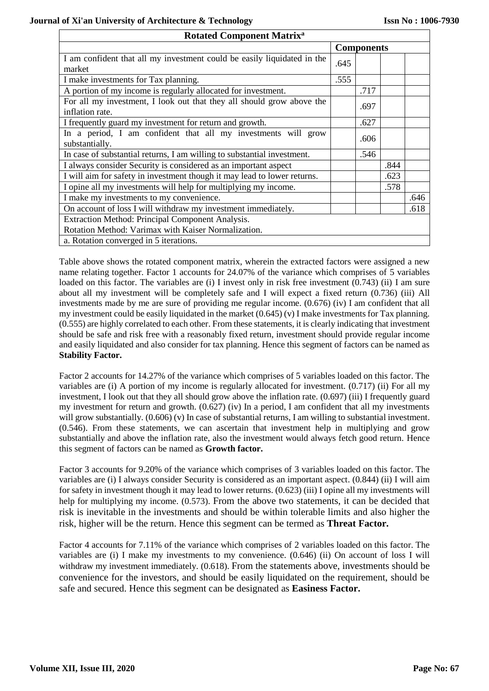| <b>Rotated Component Matrix<sup>a</sup></b>                              |      |      |      |      |  |  |  |
|--------------------------------------------------------------------------|------|------|------|------|--|--|--|
| <b>Components</b>                                                        |      |      |      |      |  |  |  |
| I am confident that all my investment could be easily liquidated in the  | .645 |      |      |      |  |  |  |
| market                                                                   |      |      |      |      |  |  |  |
| I make investments for Tax planning.                                     | .555 |      |      |      |  |  |  |
| A portion of my income is regularly allocated for investment.            |      | .717 |      |      |  |  |  |
| For all my investment, I look out that they all should grow above the    |      | .697 |      |      |  |  |  |
| inflation rate.                                                          |      |      |      |      |  |  |  |
| I frequently guard my investment for return and growth.                  |      | .627 |      |      |  |  |  |
| In a period, I am confident that all my investments will grow            | .606 |      |      |      |  |  |  |
| substantially.                                                           |      |      |      |      |  |  |  |
| In case of substantial returns, I am willing to substantial investment.  |      | .546 |      |      |  |  |  |
| I always consider Security is considered as an important aspect          |      |      | .844 |      |  |  |  |
| I will aim for safety in investment though it may lead to lower returns. |      |      | .623 |      |  |  |  |
| I opine all my investments will help for multiplying my income.          |      |      | .578 |      |  |  |  |
| I make my investments to my convenience.                                 |      |      |      | .646 |  |  |  |
| On account of loss I will withdraw my investment immediately.            |      |      |      | .618 |  |  |  |
| Extraction Method: Principal Component Analysis.                         |      |      |      |      |  |  |  |
| Rotation Method: Varimax with Kaiser Normalization.                      |      |      |      |      |  |  |  |
| a. Rotation converged in 5 iterations.                                   |      |      |      |      |  |  |  |

Table above shows the rotated component matrix, wherein the extracted factors were assigned a new name relating together. Factor 1 accounts for 24.07% of the variance which comprises of 5 variables loaded on this factor. The variables are (i) I invest only in risk free investment (0.743) (ii) I am sure about all my investment will be completely safe and I will expect a fixed return (0.736) (iii) All investments made by me are sure of providing me regular income. (0.676) (iv) I am confident that all my investment could be easily liquidated in the market (0.645) (v) I make investments for Tax planning. (0.555) are highly correlated to each other. From these statements, it is clearly indicating that investment should be safe and risk free with a reasonably fixed return, investment should provide regular income and easily liquidated and also consider for tax planning. Hence this segment of factors can be named as **Stability Factor.**

Factor 2 accounts for 14.27% of the variance which comprises of 5 variables loaded on this factor. The variables are (i) A portion of my income is regularly allocated for investment. (0.717) (ii) For all my investment, I look out that they all should grow above the inflation rate. (0.697) (iii) I frequently guard my investment for return and growth. (0.627) (iv) In a period, I am confident that all my investments will grow substantially.  $(0.606)$  (v) In case of substantial returns, I am willing to substantial investment. (0.546). From these statements, we can ascertain that investment help in multiplying and grow substantially and above the inflation rate, also the investment would always fetch good return. Hence this segment of factors can be named as **Growth factor.**

Factor 3 accounts for 9.20% of the variance which comprises of 3 variables loaded on this factor. The variables are (i) I always consider Security is considered as an important aspect. (0.844) (ii) I will aim for safety in investment though it may lead to lower returns. (0.623) (iii) I opine all my investments will help for multiplying my income. (0.573). From the above two statements, it can be decided that risk is inevitable in the investments and should be within tolerable limits and also higher the risk, higher will be the return. Hence this segment can be termed as **Threat Factor.**

Factor 4 accounts for 7.11% of the variance which comprises of 2 variables loaded on this factor. The variables are (i) I make my investments to my convenience. (0.646) (ii) On account of loss I will withdraw my investment immediately. (0.618). From the statements above, investments should be convenience for the investors, and should be easily liquidated on the requirement, should be safe and secured. Hence this segment can be designated as **Easiness Factor.**